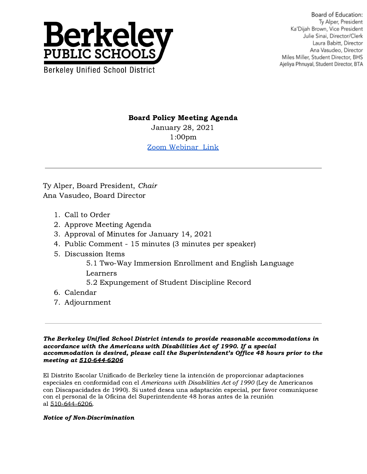

Board of Education: Tv Alper, President Ka'Dijah Brown, Vice President Julie Sinai, Director/Clerk Laura Babitt, Director Ana Vasudeo, Director Miles Miller, Student Director, BHS Ajeliya Phnuyal, Student Director, BTA

Board Policy Meeting Agenda

January 28, 2021 1:00pm [Zoom Webinar Link](https://berkeley-net.zoom.us/j/86885380570?pwd=RTVwYXB0d2NmMFFlSUNUUGE0M0J1dz09)

Ty Alper, Board President, Chair Ana Vasudeo, Board Director

- 1. Call to Order
- 2. Approve Meeting Agenda
- 3. Approval of Minutes for January 14, 2021
- 4. Public Comment 15 minutes (3 minutes per speaker)
- 5. Discussion Items
	- 5.1 Two-Way Immersion Enrollment and English Language Learners
	- 5.2 Expungement of Student Discipline Record
- 6. Calendar
- 7. Adjournment

The Berkeley Unified School District intends to provide reasonable accommodations in accordance with the Americans with Disabilities Act of 1990. If a special accommodation is desired, please call the Superintendent's Office 48 hours prior to the meeting at 510-644-6206

El Distrito Escolar Unificado de Berkeley tiene la intención de proporcionar adaptaciones especiales en conformidad con el Americans with Disabilities Act of 1990 (Ley de Americanos con Discapacidades de 1990). Si usted desea una adaptación especial, por favor comuníquese con el personal de la Oficina del Superintendente 48 horas antes de la reunión al 510-644-6206.

## Notice of Non-Discrimination